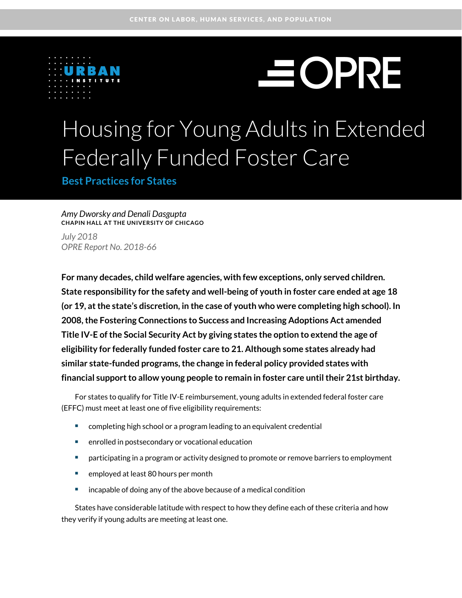

# **SOPRE**

## Housing for Young Adults in Extended Federally Funded Foster Care

**Best Practices for States**

#### *Amy Dworsky and Denali Dasgupta*  **CHAPIN HALL AT THE UNIVERSITY OF CHICAGO**

*July 2018 OPRE Report No. 2018-66*

**For many decades, child welfare agencies, with few exceptions, only served children. State responsibility for the safety and well-being of youth in foster care ended at age 18 (or 19, at the state's discretion, in the case of youth who were completing high school). In 2008, the Fostering Connections to Success and Increasing Adoptions Act amended Title IV-E of the Social Security Act by giving states the option to extend the age of eligibility for federally funded foster care to 21. Although some states already had similar state-funded programs, the change in federal policy provided states with**  financial support to allow young people to remain in foster care until their 21st birthday.

For states to qualify for Title IV-E reimbursement, young adults in extended federal foster care (EFFC) must meet at least one of five eligibility requirements:

- completing high school or a program leading to an equivalent credential
- enrolled in postsecondary or vocational education
- **EXED FEDERITHS I** participating in a program or activity designed to promote or remove barriers to employment
- **EXECO** employed at least 80 hours per month
- **EXEDEE A** incapable of doing any of the above because of a medical condition

States have considerable latitude with respect to how they define each of these criteria and how they verify if young adults are meeting at least one.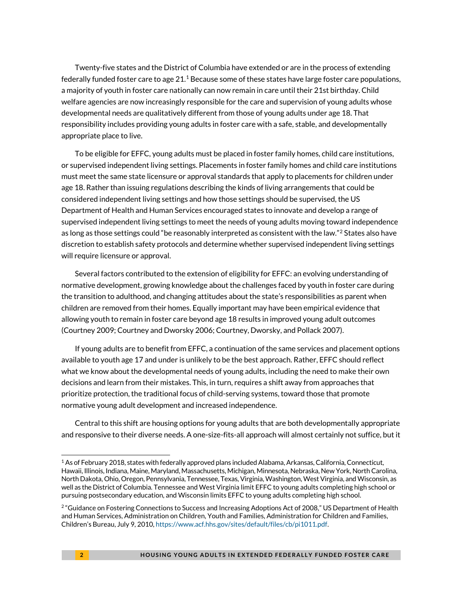Twenty-five states and the District of Columbia have extended or are in the process of extending federally funded foster care to age 2[1](#page-1-0). $^1$  Because some of these states have large foster care populations, a majority of youth in foster care nationally can now remain in care until their 21st birthday. Child welfare agencies are now increasingly responsible for the care and supervision of young adults whose developmental needs are qualitatively different from those of young adults under age 18. That responsibility includes providing young adults in foster care with a safe, stable, and developmentally appropriate place to live.

To be eligible for EFFC, young adults must be placed in foster family homes, child care institutions, or supervised independent living settings. Placements in foster family homes and child care institutions must meet the same state licensure or approval standards that apply to placements for children under age 18. Rather than issuing regulations describing the kinds of living arrangements that could be considered independent living settings and how those settings should be supervised, the US Department of Health and Human Services encouraged states to innovate and develop a range of supervised independent living settings to meet the needs of young adults moving toward independence as long as those settings could "be reasonably interpreted as consistent with the law."<sup>2</sup> States also have discretion to establish safety protocols and determine whether supervised independent living settings will require licensure or approval.

Several factors contributed to the extension of eligibility for EFFC: an evolving understanding of normative development, growing knowledge about the challenges faced by youth in foster care during the transition to adulthood, and changing attitudes about the state's responsibilities as parent when children are removed from their homes. Equally important may have been empirical evidence that allowing youth to remain in foster care beyond age 18 results in improved young adult outcomes (Courtney 2009; Courtney and Dworsky 2006; Courtney, Dworsky, and Pollack 2007).

If young adults are to benefit from EFFC, a continuation of the same services and placement options available to youth age 17 and under is unlikely to be the best approach. Rather, EFFC should reflect what we know about the developmental needs of young adults, including the need to make their own decisions and learn from their mistakes. This, in turn, requires a shift away from approaches that prioritize protection, the traditional focus of child-serving systems, toward those that promote normative young adult development and increased independence.

Central to this shift are housing options for young adults that are both developmentally appropriate and responsive to their diverse needs. A one-size-fits-all approach will almost certainly not suffice, but it

.

<span id="page-1-0"></span><sup>1</sup> As of February 2018, states with federally approved plans included Alabama, Arkansas, California, Connecticut, Hawaii, Illinois, Indiana, Maine, Maryland, Massachusetts, Michigan, Minnesota, Nebraska, New York, North Carolina, North Dakota, Ohio, Oregon, Pennsylvania, Tennessee, Texas, Virginia, Washington, West Virginia, and Wisconsin, as well as the District of Columbia. Tennessee and West Virginia limit EFFC to young adults completing high school or pursuing postsecondary education, and Wisconsin limits EFFC to young adults completing high school.

<span id="page-1-1"></span><sup>&</sup>lt;sup>2</sup> "Guidance on Fostering Connections to Success and Increasing Adoptions Act of 2008," US Department of Health and Human Services, Administration on Children, Youth and Families, Administration for Children and Families, Children's Bureau, July 9, 2010[, https://www.acf.hhs.gov/sites/default/files/cb/pi1011.pdf.](https://www.acf.hhs.gov/sites/default/files/cb/pi1011.pdf)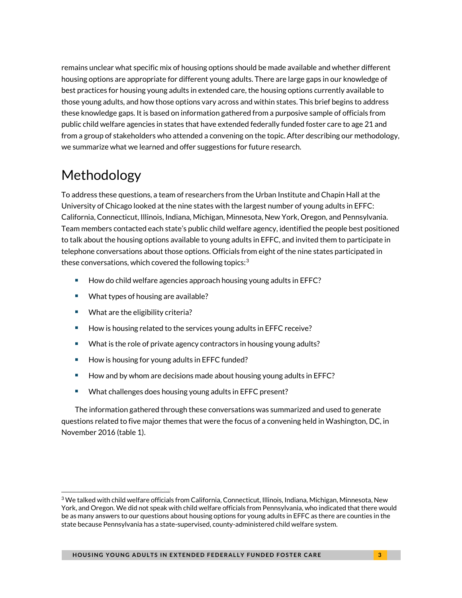remains unclear what specific mix of housing options should be made available and whether different housing options are appropriate for different young adults. There are large gaps in our knowledge of best practices for housing young adults in extended care, the housing options currently available to those young adults, and how those options vary across and within states. This brief begins to address these knowledge gaps. It is based on information gathered from a purposive sample of officials from public child welfare agencies in states that have extended federally funded foster care to age 21 and from a group of stakeholders who attended a convening on the topic. After describing our methodology, we summarize what we learned and offer suggestions for future research.

## Methodology

<u>.</u>

To address these questions, a team of researchers from the Urban Institute and Chapin Hall at the University of Chicago looked at the nine states with the largest number of young adults in EFFC: California, Connecticut, Illinois, Indiana, Michigan, Minnesota, New York, Oregon, and Pennsylvania. Team members contacted each state's public child welfare agency, identified the people best positioned to talk about the housing options available to young adults in EFFC, and invited them to participate in telephone conversations about those options. Officials from eight of the nine states participated in these conversations, which covered the following topics: $^3$  $^3$ 

- $\blacksquare$  How do child welfare agencies approach housing young adults in EFFC?
- What types of housing are available?
- What are the eligibility criteria?
- How is housing related to the services young adults in EFFC receive?
- What is the role of private agency contractors in housing young adults?
- How is housing for young adults in EFFC funded?
- How and by whom are decisions made about housing young adults in EFFC?
- What challenges does housing young adults in EFFC present?

The information gathered through these conversations was summarized and used to generate questions related to five major themes that were the focus of a convening held in Washington, DC, in November 2016 (table 1).

<span id="page-2-0"></span> $3$  We talked with child welfare officials from California, Connecticut, Illinois, Indiana, Michigan, Minnesota, New York, and Oregon. We did not speak with child welfare officials from Pennsylvania, who indicated that there would be as many answers to our questions about housing options for young adults in EFFC as there are counties in the state because Pennsylvania has a state-supervised, county-administered child welfare system.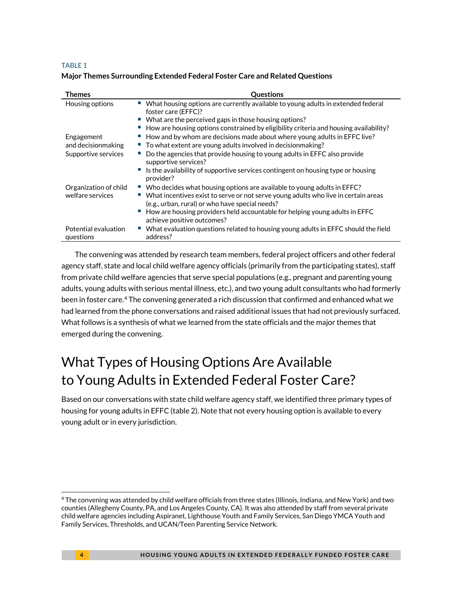#### TABLE 1

#### **Major Themes Surrounding Extended Federal Foster Care and Related Questions**

| Themes                                    | <b>Ouestions</b>                                                                                                                                                                                                                                                                                                                  |
|-------------------------------------------|-----------------------------------------------------------------------------------------------------------------------------------------------------------------------------------------------------------------------------------------------------------------------------------------------------------------------------------|
| Housing options                           | What housing options are currently available to young adults in extended federal<br>foster care (EFFC)?<br>What are the perceived gaps in those housing options?<br>How are housing options constrained by eligibility criteria and housing availability?                                                                         |
| Engagement<br>and decision making         | ■ How and by whom are decisions made about where young adults in EFFC live?<br>■ To what extent are young adults involved in decisionmaking?                                                                                                                                                                                      |
| Supportive services                       | Do the agencies that provide housing to young adults in EFFC also provide<br>supportive services?<br>Is the availability of supportive services contingent on housing type or housing<br>provider?                                                                                                                                |
| Organization of child<br>welfare services | " Who decides what housing options are available to young adults in EFFC?<br>• What incentives exist to serve or not serve young adults who live in certain areas<br>(e.g., urban, rural) or who have special needs?<br>How are housing providers held accountable for helping young adults in EFFC<br>achieve positive outcomes? |
| Potential evaluation<br>questions         | What evaluation questions related to housing young adults in EFFC should the field<br>address?                                                                                                                                                                                                                                    |

The convening was attended by research team members, federal project officers and other federal agency staff, state and local child welfare agency officials (primarily from the participating states), staff from private child welfare agencies that serve special populations (e.g., pregnant and parenting young adults, young adults with serious mental illness, etc.), and two young adult consultants who had formerly been in foster care.<sup>[4](#page-3-0)</sup> The convening generated a rich discussion that confirmed and enhanced what we had learned from the phone conversations and raised additional issues that had not previously surfaced. What follows is a synthesis of what we learned from the state officials and the major themes that emerged during the convening.

## What Types of Housing Options Are Available to Young Adults in Extended Federal Foster Care?

Based on our conversations with state child welfare agency staff, we identified three primary types of housing for young adults in EFFC (table 2). Note that not every housing option is available to every young adult or in every jurisdiction.

<u>.</u>

<span id="page-3-0"></span><sup>4</sup> The convening was attended by child welfare officials from three states (Illinois, Indiana, and New York) and two counties (Allegheny County, PA, and Los Angeles County, CA). It was also attended by staff from several private child welfare agencies including Aspiranet, Lighthouse Youth and Family Services, San Diego YMCA Youth and Family Services, Thresholds, and UCAN/Teen Parenting Service Network.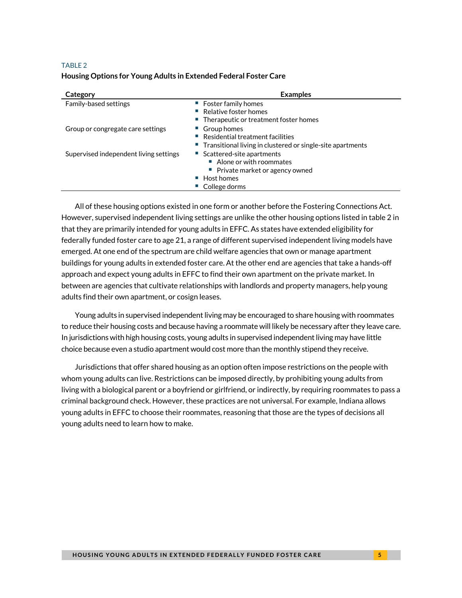#### TABLE 2

#### **Housing Options for Young Adults in Extended Federal Foster Care**

| Category                               | <b>Examples</b>                                                                                                                                           |
|----------------------------------------|-----------------------------------------------------------------------------------------------------------------------------------------------------------|
| Family-based settings                  | $\blacksquare$ Foster family homes<br>Relative foster homes<br>■ Therapeutic or treatment foster homes                                                    |
| Group or congregate care settings      | • Group homes<br>$\blacksquare$ Residential treatment facilities<br>■ Transitional living in clustered or single-site apartments                          |
| Supervised independent living settings | ■ Scattered-site apartments<br>■ Alone or with roommates<br>• Private market or agency owned<br>$\blacksquare$ Host homes<br>$\blacksquare$ College dorms |

All of these housing options existed in one form or another before the Fostering Connections Act. However, supervised independent living settings are unlike the other housing options listed in table 2 in that they are primarily intended for young adults in EFFC. As states have extended eligibility for federally funded foster care to age 21, a range of different supervised independent living models have emerged. At one end of the spectrum are child welfare agencies that own or manage apartment buildings for young adults in extended foster care. At the other end are agencies that take a hands-off approach and expect young adults in EFFC to find their own apartment on the private market. In between are agencies that cultivate relationships with landlords and property managers, help young adults find their own apartment, or cosign leases.

Young adults in supervised independent living may be encouraged to share housing with roommates to reduce their housing costs and because having a roommate will likely be necessary after they leave care. In jurisdictions with high housing costs, young adults in supervised independent living may have little choice because even a studio apartment would cost more than the monthly stipend they receive.

Jurisdictions that offer shared housing as an option often impose restrictions on the people with whom young adults can live. Restrictions can be imposed directly, by prohibiting young adults from living with a biological parent or a boyfriend or girlfriend, or indirectly, by requiring roommates to pass a criminal background check. However, these practices are not universal. For example, Indiana allows young adults in EFFC to choose their roommates, reasoning that those are the types of decisions all young adults need to learn how to make.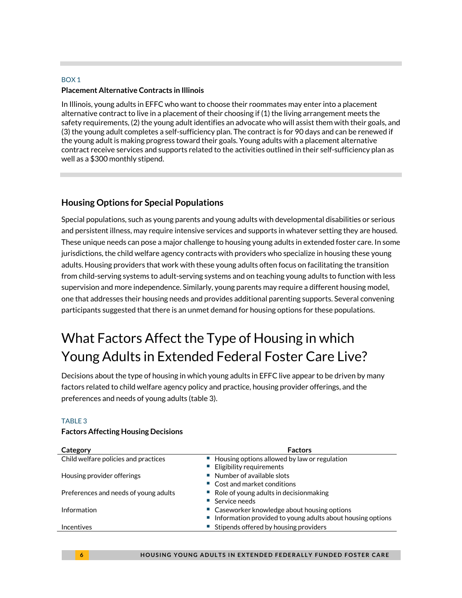#### BOX 1 **Placement Alternative Contracts in Illinois**

In Illinois, young adults in EFFC who want to choose their roommates may enter into a placement alternative contract to live in a placement of their choosing if (1) the living arrangement meets the safety requirements, (2) the young adult identifies an advocate who will assist them with their goals, and (3) the young adult completes a self-sufficiency plan. The contract is for 90 days and can be renewed if the young adult is making progress toward their goals. Young adults with a placement alternative contract receive services and supports related to the activities outlined in their self-sufficiency plan as well as a \$300 monthly stipend.

#### **Housing Options for Special Populations**

Special populations, such as young parents and young adults with developmental disabilities or serious and persistent illness, may require intensive services and supports in whatever setting they are housed. These unique needs can pose a major challenge to housing young adults in extended foster care. In some jurisdictions, the child welfare agency contracts with providers who specialize in housing these young adults. Housing providers that work with these young adults often focus on facilitating the transition from child-serving systems to adult-serving systems and on teaching young adults to function with less supervision and more independence. Similarly, young parents may require a different housing model, one that addresses their housing needs and provides additional parenting supports. Several convening participants suggested that there is an unmet demand for housing options for these populations.

## What Factors Affect the Type of Housing in which Young Adults in Extended Federal Foster Care Live?

Decisions about the type of housing in which young adults in EFFC live appear to be driven by many factors related to child welfare agency policy and practice, housing provider offerings, and the preferences and needs of young adults (table 3).

#### TABLE 3

#### **Factors Affecting Housing Decisions**

| Category                              | <b>Factors</b>                                                                                               |
|---------------------------------------|--------------------------------------------------------------------------------------------------------------|
| Child welfare policies and practices  | ■ Housing options allowed by law or regulation                                                               |
|                                       | <b>Eligibility requirements</b><br>■ Number of available slots                                               |
| Housing provider offerings            | ■ Cost and market conditions                                                                                 |
| Preferences and needs of young adults | $\blacksquare$ Role of young adults in decision making<br>$\blacksquare$ Service needs                       |
| Information                           | • Caseworker knowledge about housing options<br>" Information provided to young adults about housing options |
| Incentives                            | ■ Stipends offered by housing providers                                                                      |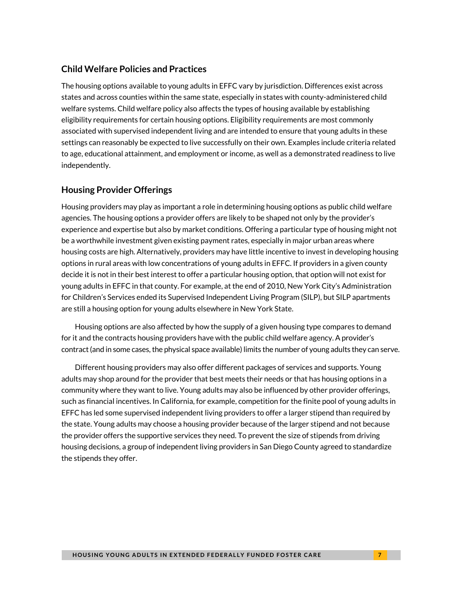#### **Child Welfare Policies and Practices**

The housing options available to young adults in EFFC vary by jurisdiction. Differences exist across states and across counties within the same state, especially in states with county-administered child welfare systems. Child welfare policy also affects the types of housing available by establishing eligibility requirements for certain housing options. Eligibility requirements are most commonly associated with supervised independent living and are intended to ensure that young adults in these settings can reasonably be expected to live successfully on their own. Examples include criteria related to age, educational attainment, and employment or income, as well as a demonstrated readiness to live independently.

#### **Housing Provider Offerings**

Housing providers may play as important a role in determining housing options as public child welfare agencies. The housing options a provider offers are likely to be shaped not only by the provider's experience and expertise but also by market conditions. Offering a particular type of housing might not be a worthwhile investment given existing payment rates, especially in major urban areas where housing costs are high. Alternatively, providers may have little incentive to invest in developing housing options in rural areas with low concentrations of young adults in EFFC. If providers in a given county decide it is not in their best interest to offer a particular housing option, that option will not exist for young adults in EFFC in that county. For example, at the end of 2010, New York City's Administration for Children's Services ended its Supervised Independent Living Program (SILP), but SILP apartments are still a housing option for young adults elsewhere in New York State.

Housing options are also affected by how the supply of a given housing type compares to demand for it and the contracts housing providers have with the public child welfare agency. A provider's contract (and in some cases, the physical space available) limits the number of young adults they can serve.

Different housing providers may also offer different packages of services and supports. Young adults may shop around for the provider that best meets their needs or that has housing options in a community where they want to live. Young adults may also be influenced by other provider offerings, such as financial incentives. In California, for example, competition for the finite pool of young adults in EFFC has led some supervised independent living providers to offer a larger stipend than required by the state. Young adults may choose a housing provider because of the larger stipend and not because the provider offers the supportive services they need. To prevent the size of stipends from driving housing decisions, a group of independent living providers in San Diego County agreed to standardize the stipends they offer.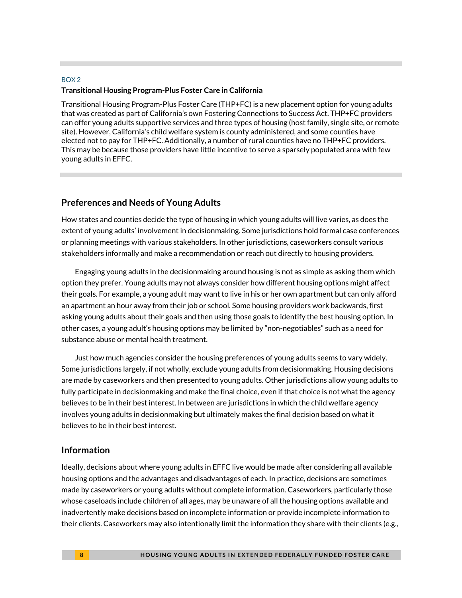#### BOX 2 **Transitional Housing Program-Plus Foster Care in California**

Transitional Housing Program-Plus Foster Care (THP+FC) is a new placement option for young adults that was created as part of California's own Fostering Connections to Success Act. THP+FC providers can offer young adults supportive services and three types of housing (host family, single site, or remote site). However, California's child welfare system is county administered, and some counties have elected not to pay for THP+FC. Additionally, a number of rural counties have no THP+FC providers. This may be because those providers have little incentive to serve a sparsely populated area with few young adults in EFFC.

#### **Preferences and Needs of Young Adults**

How states and counties decide the type of housing in which young adults will live varies, as does the extent of young adults' involvement in decisionmaking. Some jurisdictions hold formal case conferences or planning meetings with various stakeholders. In other jurisdictions, caseworkers consult various stakeholders informally and make a recommendation or reach out directly to housing providers.

Engaging young adults in the decisionmaking around housing is not as simple as asking them which option they prefer. Young adults may not always consider how different housing options might affect their goals. For example, a young adult may want to live in his or her own apartment but can only afford an apartment an hour away from their job or school. Some housing providers work backwards, first asking young adults about their goals and then using those goals to identify the best housing option. In other cases, a young adult's housing options may be limited by "non-negotiables" such as a need for substance abuse or mental health treatment.

Just how much agencies consider the housing preferences of young adults seems to vary widely. Some jurisdictions largely, if not wholly, exclude young adults from decisionmaking. Housing decisions are made by caseworkers and then presented to young adults. Other jurisdictions allow young adults to fully participate in decisionmaking and make the final choice, even if that choice is not what the agency believes to be in their best interest. In between are jurisdictions in which the child welfare agency involves young adults in decisionmaking but ultimately makes the final decision based on what it believes to be in their best interest.

#### **Information**

Ideally, decisions about where young adults in EFFC live would be made after considering all available housing options and the advantages and disadvantages of each. In practice, decisions are sometimes made by caseworkers or young adults without complete information. Caseworkers, particularly those whose caseloads include children of all ages, may be unaware of all the housing options available and inadvertently make decisions based on incomplete information or provide incomplete information to their clients. Caseworkers may also intentionally limit the information they share with their clients (e.g.,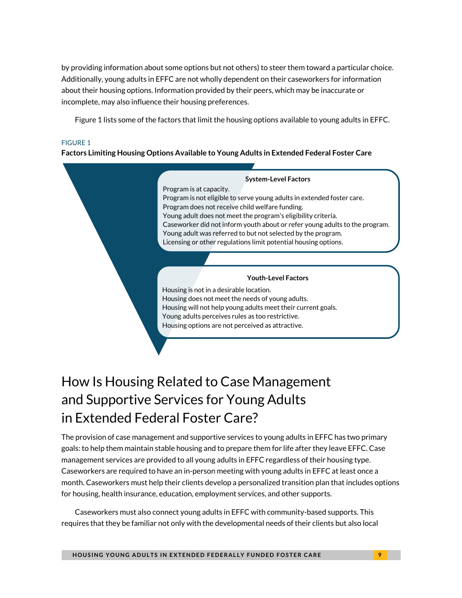by providing information about some options but not others) to steer them toward a particular choice. Additionally, young adults in EFFC are not wholly dependent on their caseworkers for information about their housing options. Information provided by their peers, which may be inaccurate or incomplete, may also influence their housing preferences.

Figure 1 lists some of the factors that limit the housing options available to young adults in EFFC.

#### FIGURE 1

#### **Factors Limiting Housing Options Available to Young Adults in Extended Federal Foster Care**

#### **System-Level Factors** Program is at capacity. Program is not eligible to serve young adults in extended foster care. Program does not receive child welfare funding. Young adult does not meet the program's eligibility criteria. Caseworker did not inform youth about or refer young adults to the program. Young adult was referred to but not selected by the program. Licensing or other regulations limit potential housing options. **Youth-Level Factors** Housing is not in a desirable location. Housing does not meet the needs of young adults. Housing will not help young adults meet their current goals. Young adults perceives rules as too restrictive. Housing options are not perceived as attractive.

## How Is Housing Related to Case Management and Supportive Services for Young Adults in Extended Federal Foster Care?

The provision of case management and supportive services to young adults in EFFC has two primary goals: to help them maintain stable housing and to prepare them for life after they leave EFFC. Case management services are provided to all young adults in EFFC regardless of their housing type. Caseworkers are required to have an in-person meeting with young adults in EFFC at least once a month. Caseworkers must help their clients develop a personalized transition plan that includes options for housing, health insurance, education, employment services, and other supports.

Caseworkers must also connect young adults in EFFC with community-based supports. This requires that they be familiar not only with the developmental needs of their clients but also local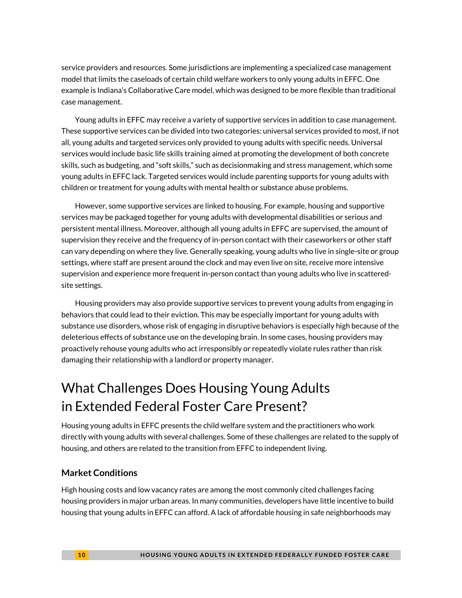service providers and resources. Some jurisdictions are implementing a specialized case management model that limits the caseloads of certain child welfare workers to only young adults in EFFC. One example is Indiana's Collaborative Care model, which was designed to be more flexible than traditional case management.

Young adults in EFFC may receive a variety of supportive services in addition to case management. These supportive services can be divided into two categories: universal services provided to most, if not all, young adults and targeted services only provided to young adults with specific needs. Universal services would include basic life skills training aimed at promoting the development of both concrete skills, such as budgeting, and "soft skills," such as decisionmaking and stress management, which some young adults in EFFC lack. Targeted services would include parenting supports for young adults with children or treatment for young adults with mental health or substance abuse problems.

However, some supportive services are linked to housing. For example, housing and supportive services may be packaged together for young adults with developmental disabilities or serious and persistent mental illness. Moreover, although all young adults in EFFC are supervised, the amount of supervision they receive and the frequency of in-person contact with their caseworkers or other staff can vary depending on where they live. Generally speaking, young adults who live in single-site or group settings, where staff are present around the clock and may even live on site, receive more intensive supervision and experience more frequent in-person contact than young adults who live in scatteredsite settings.

Housing providers may also provide supportive services to prevent young adults from engaging in behaviors that could lead to their eviction. This may be especially important for young adults with substance use disorders, whose risk of engaging in disruptive behaviors is especially high because of the deleterious effects of substance use on the developing brain. In some cases, housing providers may proactively rehouse young adults who act irresponsibly or repeatedly violate rules rather than risk damaging their relationship with a landlord or property manager.

## What Challenges Does Housing Young Adults in Extended Federal Foster Care Present?

Housing young adults in EFFC presents the child welfare system and the practitioners who work directly with young adults with several challenges. Some of these challenges are related to the supply of housing, and others are related to the transition from EFFC to independent living.

#### **Market Conditions**

High housing costs and low vacancy rates are among the most commonly cited challenges facing housing providers in major urban areas. In many communities, developers have little incentive to build housing that young adults in EFFC can afford. A lack of affordable housing in safe neighborhoods may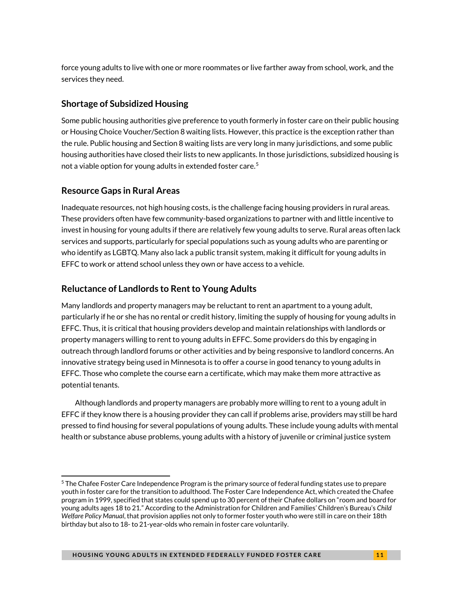force young adults to live with one or more roommates or live farther away from school, work, and the services they need.

#### **Shortage of Subsidized Housing**

Some public housing authorities give preference to youth formerly in foster care on their public housing or Housing Choice Voucher/Section 8 waiting lists. However, this practice is the exception rather than the rule. Public housing and Section 8 waiting lists are very long in many jurisdictions, and some public housing authorities have closed their lists to new applicants. In those jurisdictions, subsidized housing is not a viable option for young adults in extended foster care.<sup>5</sup>

#### **Resource Gaps in Rural Areas**

<u>.</u>

Inadequate resources, not high housing costs, is the challenge facing housing providers in rural areas. These providers often have few community-based organizations to partner with and little incentive to invest in housing for young adults if there are relatively few young adults to serve. Rural areas often lack services and supports, particularly for special populations such as young adults who are parenting or who identify as LGBTQ. Many also lack a public transit system, making it difficult for young adults in EFFC to work or attend school unless they own or have access to a vehicle.

#### **Reluctance of Landlords to Rent to Young Adults**

Many landlords and property managers may be reluctant to rent an apartment to a young adult, particularly if he or she has no rental or credit history, limiting the supply of housing for young adults in EFFC. Thus, it is critical that housing providers develop and maintain relationships with landlords or property managers willing to rent to young adults in EFFC. Some providers do this by engaging in outreach through landlord forums or other activities and by being responsive to landlord concerns. An innovative strategy being used in Minnesota is to offer a course in good tenancy to young adults in EFFC. Those who complete the course earn a certificate, which may make them more attractive as potential tenants.

Although landlords and property managers are probably more willing to rent to a young adult in EFFC if they know there is a housing provider they can call if problems arise, providers may still be hard pressed to find housing for several populations of young adults. These include young adults with mental health or substance abuse problems, young adults with a history of juvenile or criminal justice system

<span id="page-10-0"></span><sup>&</sup>lt;sup>5</sup> The Chafee Foster Care Independence Program is the primary source of federal funding states use to prepare youth in foster care for the transition to adulthood. The Foster Care Independence Act, which created the Chafee program in 1999, specified that states could spend up to 30 percent of their Chafee dollars on "room and board for young adults ages 18 to 21." According to the Administration for Children and Families' Children's Bureau's *Child Welfare Policy Manual*, that provision applies not only to former foster youth who were still in care on their 18th birthday but also to 18- to 21-year-olds who remain in foster care voluntarily.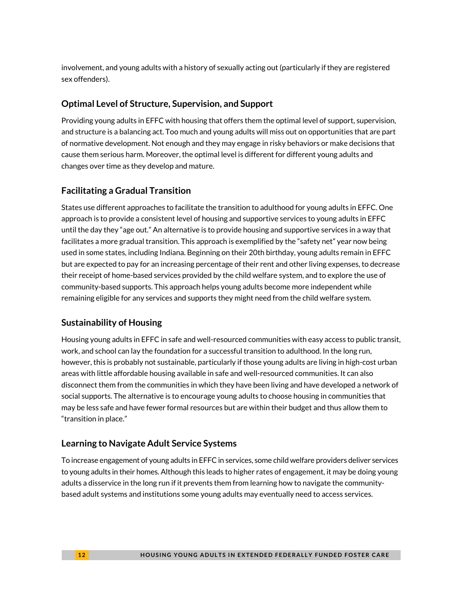involvement, and young adults with a history of sexually acting out (particularly if they are registered sex offenders).

#### **Optimal Level of Structure, Supervision, and Support**

Providing young adults in EFFC with housing that offers them the optimal level of support, supervision, and structure is a balancing act. Too much and young adults will miss out on opportunities that are part of normative development. Not enough and they may engage in risky behaviors or make decisions that cause them serious harm. Moreover, the optimal level is different for different young adults and changes over time as they develop and mature.

#### **Facilitating a Gradual Transition**

States use different approaches to facilitate the transition to adulthood for young adults in EFFC. One approach is to provide a consistent level of housing and supportive services to young adults in EFFC until the day they "age out." An alternative is to provide housing and supportive services in a way that facilitates a more gradual transition. This approach is exemplified by the "safety net" year now being used in some states, including Indiana. Beginning on their 20th birthday, young adults remain in EFFC but are expected to pay for an increasing percentage of their rent and other living expenses, to decrease their receipt of home-based services provided by the child welfare system, and to explore the use of community-based supports. This approach helps young adults become more independent while remaining eligible for any services and supports they might need from the child welfare system.

#### **Sustainability of Housing**

Housing young adults in EFFC in safe and well-resourced communities with easy access to public transit, work, and school can lay the foundation for a successful transition to adulthood. In the long run, however, this is probably not sustainable, particularly if those young adults are living in high-cost urban areas with little affordable housing available in safe and well-resourced communities. It can also disconnect them from the communities in which they have been living and have developed a network of social supports. The alternative is to encourage young adults to choose housing in communities that may be less safe and have fewer formal resources but are within their budget and thus allow them to "transition in place."

#### **Learning to Navigate Adult Service Systems**

To increase engagement of young adults in EFFC in services, some child welfare providers deliver services to young adults in their homes. Although this leads to higher rates of engagement, it may be doing young adults a disservice in the long run if it prevents them from learning how to navigate the communitybased adult systems and institutions some young adults may eventually need to access services.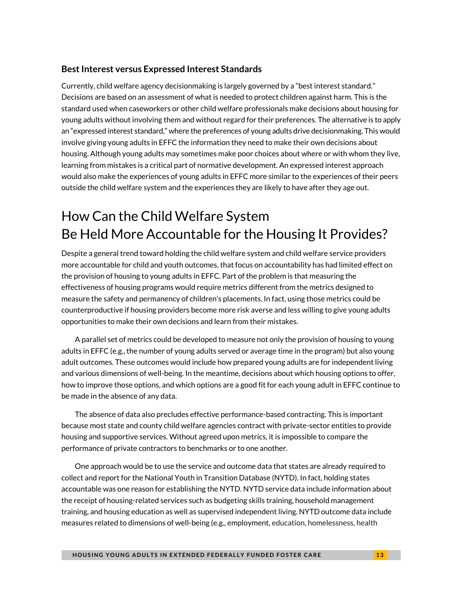#### **Best Interest versus Expressed Interest Standards**

Currently, child welfare agency decisionmaking is largely governed by a "best interest standard." Decisions are based on an assessment of what is needed to protect children against harm. This is the standard used when caseworkers or other child welfare professionals make decisions about housing for young adults without involving them and without regard for their preferences. The alternative is to apply an "expressed interest standard," where the preferences of young adults drive decisionmaking. This would involve giving young adults in EFFC the information they need to make their own decisions about housing. Although young adults may sometimes make poor choices about where or with whom they live, learning from mistakes is a critical part of normative development. An expressed interest approach would also make the experiences of young adults in EFFC more similar to the experiences of their peers outside the child welfare system and the experiences they are likely to have after they age out.

## How Can the Child Welfare System Be Held More Accountable for the Housing It Provides?

Despite a general trend toward holding the child welfare system and child welfare service providers more accountable for child and youth outcomes, that focus on accountability has had limited effect on the provision of housing to young adults in EFFC. Part of the problem is that measuring the effectiveness of housing programs would require metrics different from the metrics designed to measure the safety and permanency of children's placements. In fact, using those metrics could be counterproductive if housing providers become more risk averse and less willing to give young adults opportunities to make their own decisions and learn from their mistakes.

A parallel set of metrics could be developed to measure not only the provision of housing to young adults in EFFC (e.g., the number of young adults served or average time in the program) but also young adult outcomes. These outcomes would include how prepared young adults are for independent living and various dimensions of well-being. In the meantime, decisions about which housing options to offer, how to improve those options, and which options are a good fit for each young adult in EFFC continue to be made in the absence of any data.

The absence of data also precludes effective performance-based contracting. This is important because most state and county child welfare agencies contract with private-sector entities to provide housing and supportive services. Without agreed upon metrics, it is impossible to compare the performance of private contractors to benchmarks or to one another.

One approach would be to use the service and outcome data that states are already required to collect and report for the National Youth in Transition Database (NYTD). In fact, holding states accountable was one reason for establishing the NYTD. NYTD service data include information about the receipt of housing-related services such as budgeting skills training, household management training, and housing education as well as supervised independent living. NYTD outcome data include measures related to dimensions of well-being (e.g., employment, education, homelessness, health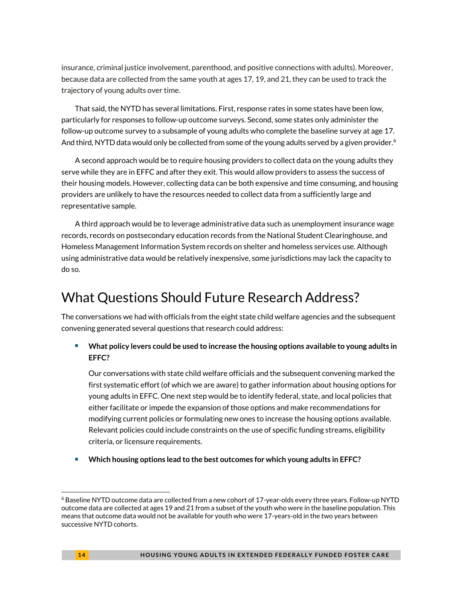insurance, criminal justice involvement, parenthood, and positive connections with adults). Moreover, because data are collected from the same youth at ages 17, 19, and 21, they can be used to track the trajectory of young adults over time.

That said, the NYTD has several limitations. First, response rates in some states have been low, particularly for responses to follow-up outcome surveys. Second, some states only administer the follow-up outcome survey to a subsample of young adults who complete the baseline survey at age 17. And third, NYTD data would only be collected from some of the young adults served by a given provider.<sup>[6](#page-13-0)</sup>

A second approach would be to require housing providers to collect data on the young adults they serve while they are in EFFC and after they exit. This would allow providers to assess the success of their housing models. However, collecting data can be both expensive and time consuming, and housing providers are unlikely to have the resources needed to collect data from a sufficiently large and representative sample.

A third approach would be to leverage administrative data such as unemployment insurance wage records, records on postsecondary education records from the National Student Clearinghouse, and Homeless Management Information System records on shelter and homeless services use. Although using administrative data would be relatively inexpensive, some jurisdictions may lack the capacity to do so.

## What Questions Should Future Research Address?

The conversations we had with officials from the eight state child welfare agencies and the subsequent convening generated several questions that research could address:

 **What policy levers could be used to increase the housing options available to young adults in EFFC?** 

Our conversations with state child welfare officials and the subsequent convening marked the first systematic effort (of which we are aware) to gather information about housing options for young adults in EFFC. One next step would be to identify federal, state, and local policies that either facilitate or impede the expansion of those options and make recommendations for modifying current policies or formulating new ones to increase the housing options available. Relevant policies could include constraints on the use of specific funding streams, eligibility criteria, or licensure requirements.

**Which housing options lead to the best outcomes for which young adults in EFFC?** 

<u>.</u>

<span id="page-13-0"></span><sup>6</sup> Baseline NYTD outcome data are collected from a new cohort of 17-year-olds every three years. Follow-up NYTD outcome data are collected at ages 19 and 21 from a subset of the youth who were in the baseline population. This means that outcome data would not be available for youth who were 17-years-old in the two years between successive NYTD cohorts.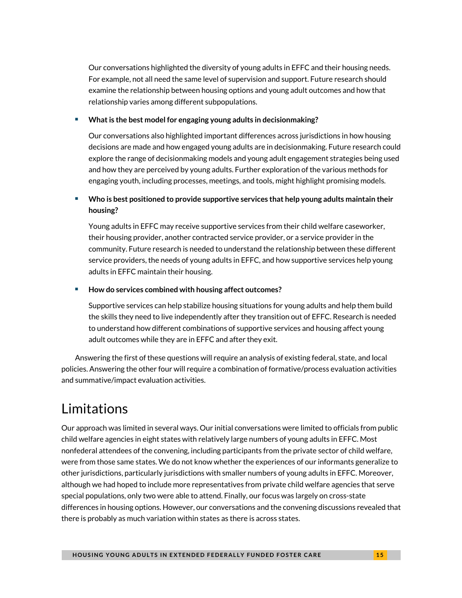Our conversations highlighted the diversity of young adults in EFFC and their housing needs. For example, not all need the same level of supervision and support. Future research should examine the relationship between housing options and young adult outcomes and how that relationship varies among different subpopulations.

#### **What is the best model for engaging young adults in decisionmaking?**

Our conversations also highlighted important differences across jurisdictions in how housing decisions are made and how engaged young adults are in decisionmaking. Future research could explore the range of decisionmaking models and young adult engagement strategies being used and how they are perceived by young adults. Further exploration of the various methods for engaging youth, including processes, meetings, and tools, might highlight promising models*.* 

#### **Who is best positioned to provide supportive services that help young adults maintain their housing?**

Young adults in EFFC may receive supportive services from their child welfare caseworker, their housing provider, another contracted service provider, or a service provider in the community. Future research is needed to understand the relationship between these different service providers, the needs of young adults in EFFC, and how supportive services help young adults in EFFC maintain their housing.

#### **How do services combined with housing affect outcomes?**

Supportive services can help stabilize housing situations for young adults and help them build the skills they need to live independently after they transition out of EFFC. Research is needed to understand how different combinations of supportive services and housing affect young adult outcomes while they are in EFFC and after they exit.

Answering the first of these questions will require an analysis of existing federal, state, and local policies. Answering the other four will require a combination of formative/process evaluation activities and summative/impact evaluation activities.

## Limitations

Our approach was limited in several ways. Our initial conversations were limited to officials from public child welfare agencies in eight states with relatively large numbers of young adults in EFFC. Most nonfederal attendees of the convening, including participants from the private sector of child welfare, were from those same states. We do not know whether the experiences of our informants generalize to other jurisdictions, particularly jurisdictions with smaller numbers of young adults in EFFC. Moreover, although we had hoped to include more representatives from private child welfare agencies that serve special populations, only two were able to attend. Finally, our focus was largely on cross-state differences in housing options. However, our conversations and the convening discussions revealed that there is probably as much variation within states as there is across states.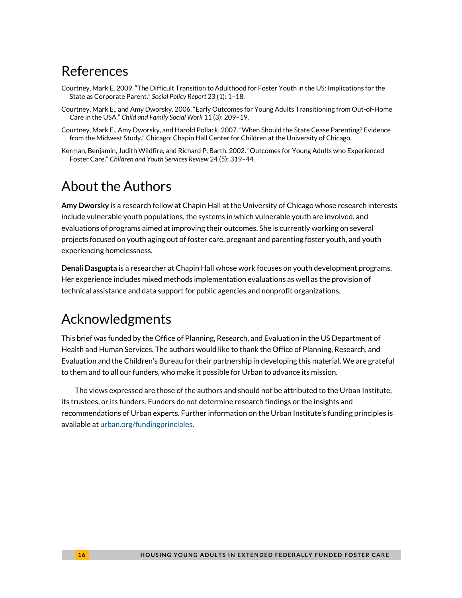### References

- Courtney, Mark E. 2009. "The Difficult Transition to Adulthood for Foster Youth in the US: Implications for the State as Corporate Parent." *Social Policy Report* 23 (1): 1–18.
- Courtney, Mark E., and Amy Dworsky. 2006. "Early Outcomes for Young Adults Transitioning from Out-of-Home Care in the USA." *Child and Family Social Work* 11 (3): 209–19.
- Courtney, Mark E., Amy Dworsky, and Harold Pollack. 2007. "When Should the State Cease Parenting? Evidence from the Midwest Study." Chicago: Chapin Hall Center for Children at the University of Chicago.
- Kerman, Benjamin, Judith Wildfire, and Richard P. Barth. 2002. "Outcomes for Young Adults who Experienced Foster Care." *Children and Youth Services Review* 24 (5): 319–44.

## About the Authors

**Amy Dworsky** is a research fellow at Chapin Hall at the University of Chicago whose research interests include vulnerable youth populations, the systems in which vulnerable youth are involved, and evaluations of programs aimed at improving their outcomes. She is currently working on several projects focused on youth aging out of foster care, pregnant and parenting foster youth, and youth experiencing homelessness.

**Denali Dasgupta** is a researcher at Chapin Hall whose work focuses on youth development programs. Her experience includes mixed methods implementation evaluations as well as the provision of technical assistance and data support for public agencies and nonprofit organizations.

## Acknowledgments

This brief was funded by the Office of Planning, Research, and Evaluation in the US Department of Health and Human Services. The authors would like to thank the Office of Planning, Research, and Evaluation and the Children's Bureau for their partnership in developing this material. We are grateful to them and to all our funders, who make it possible for Urban to advance its mission.

The views expressed are those of the authors and should not be attributed to the Urban Institute, its trustees, or its funders. Funders do not determine research findings or the insights and recommendations of Urban experts. Further information on the Urban Institute's funding principles is available a[t urban.org/fundingprinciples.](http://www.urban.org/fundingprinciples)